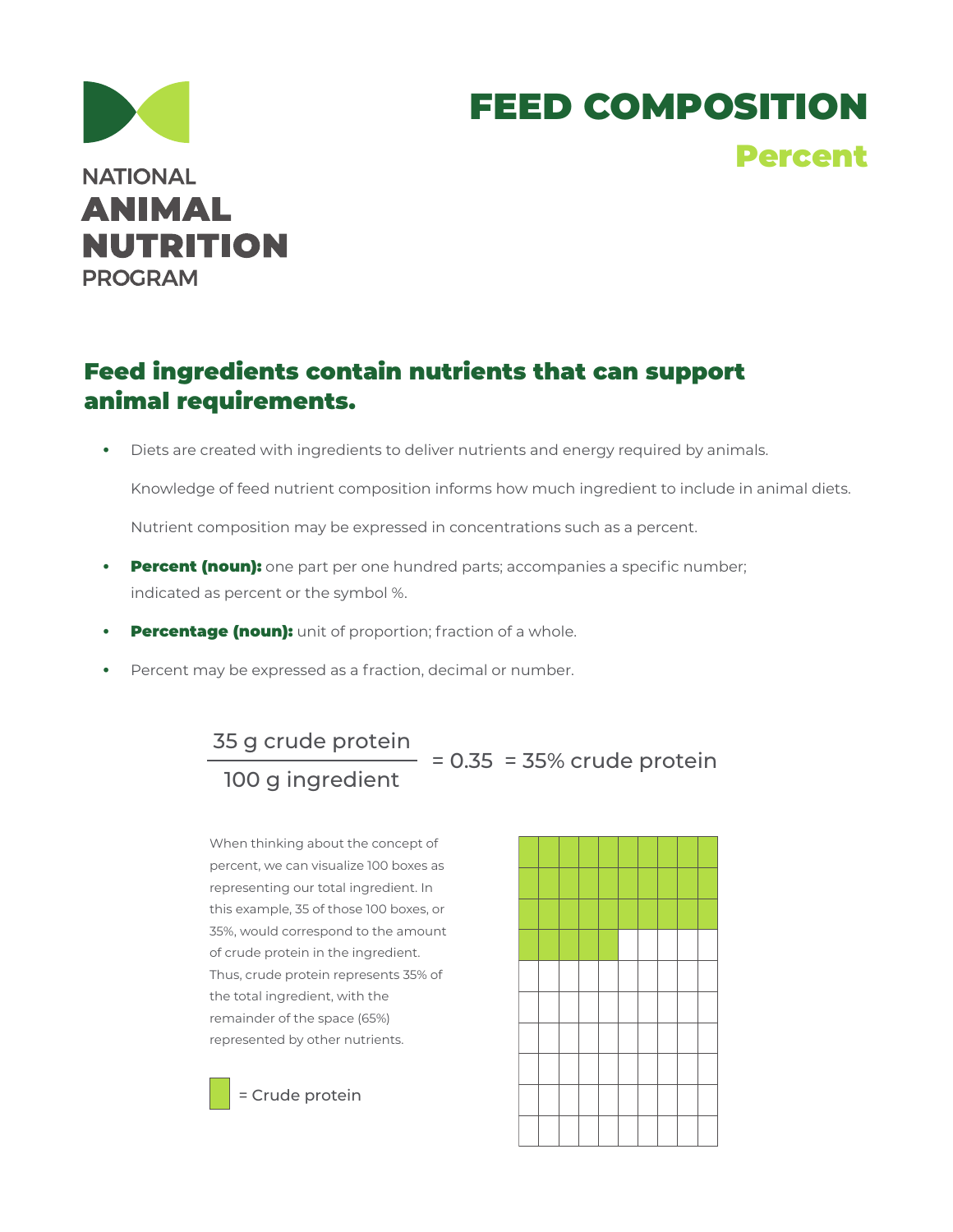

# FEED COMPOSITION Percent

## Feed ingredients contain nutrients that can support animal requirements.

**•** Diets are created with ingredients to deliver nutrients and energy required by animals.

Knowledge of feed nutrient composition informs how much ingredient to include in animal diets.

Nutrient composition may be expressed in concentrations such as a percent.

- **Percent (noun):** one part per one hundred parts; accompanies a specific number; indicated as percent or the symbol %.
- **Percentage (noun):** unit of proportion; fraction of a whole.
- **•** Percent may be expressed as a fraction, decimal or number.

## 35 g crude protein 100 g ingredient = 0.35 = 35% crude protein

When thinking about the concept of percent, we can visualize 100 boxes as representing our total ingredient. In this example, 35 of those 100 boxes, or 35%, would correspond to the amount of crude protein in the ingredient. Thus, crude protein represents 35% of the total ingredient, with the remainder of the space (65%) represented by other nutrients.

= Crude protein